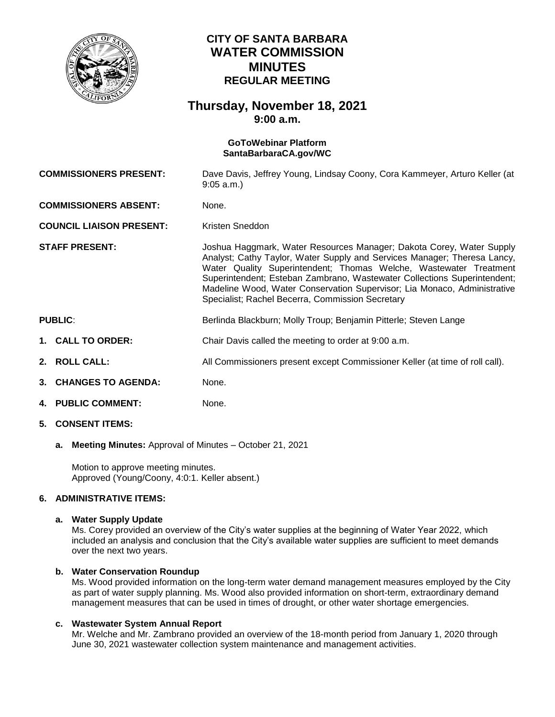

# **CITY OF SANTA BARBARA WATER COMMISSION MINUTES REGULAR MEETING**

# **Thursday, November 18, 2021 9:00 a.m.**

#### **GoToWebinar Platform [SantaBarbaraCA.gov/WC](https://www.santabarbaraca.gov/gov/brdcomm/nz/water/agendas.asp)**

| <b>COMMISSIONERS PRESENT:</b>   |                       | Dave Davis, Jeffrey Young, Lindsay Coony, Cora Kammeyer, Arturo Keller (at<br>$9:05$ a.m.)                                                                                                                                                                                                                                                                                                                                        |
|---------------------------------|-----------------------|-----------------------------------------------------------------------------------------------------------------------------------------------------------------------------------------------------------------------------------------------------------------------------------------------------------------------------------------------------------------------------------------------------------------------------------|
| <b>COMMISSIONERS ABSENT:</b>    |                       | None.                                                                                                                                                                                                                                                                                                                                                                                                                             |
| <b>COUNCIL LIAISON PRESENT:</b> |                       | Kristen Sneddon                                                                                                                                                                                                                                                                                                                                                                                                                   |
| <b>STAFF PRESENT:</b>           |                       | Joshua Haggmark, Water Resources Manager; Dakota Corey, Water Supply<br>Analyst; Cathy Taylor, Water Supply and Services Manager; Theresa Lancy,<br>Water Quality Superintendent; Thomas Welche, Wastewater Treatment<br>Superintendent; Esteban Zambrano, Wastewater Collections Superintendent;<br>Madeline Wood, Water Conservation Supervisor; Lia Monaco, Administrative<br>Specialist; Rachel Becerra, Commission Secretary |
| <b>PUBLIC:</b>                  |                       | Berlinda Blackburn; Molly Troup; Benjamin Pitterle; Steven Lange                                                                                                                                                                                                                                                                                                                                                                  |
|                                 | 1. CALL TO ORDER:     | Chair Davis called the meeting to order at 9:00 a.m.                                                                                                                                                                                                                                                                                                                                                                              |
|                                 | 2. ROLL CALL:         | All Commissioners present except Commissioner Keller (at time of roll call).                                                                                                                                                                                                                                                                                                                                                      |
|                                 | 3. CHANGES TO AGENDA: | None.                                                                                                                                                                                                                                                                                                                                                                                                                             |
|                                 | 4. PUBLIC COMMENT:    | None.                                                                                                                                                                                                                                                                                                                                                                                                                             |
|                                 | 5. CONSENT ITEMS:     |                                                                                                                                                                                                                                                                                                                                                                                                                                   |

**a. Meeting Minutes:** Approval of Minutes – October 21, 2021

Motion to approve meeting minutes. Approved (Young/Coony, 4:0:1. Keller absent.)

## **6. ADMINISTRATIVE ITEMS:**

### **a. Water Supply Update**

Ms. Corey provided an overview of the City's water supplies at the beginning of Water Year 2022, which included an analysis and conclusion that the City's available water supplies are sufficient to meet demands over the next two years.

### **b. Water Conservation Roundup**

Ms. Wood provided information on the long-term water demand management measures employed by the City as part of water supply planning. Ms. Wood also provided information on short-term, extraordinary demand management measures that can be used in times of drought, or other water shortage emergencies.

#### **c. Wastewater System Annual Report**

Mr. Welche and Mr. Zambrano provided an overview of the 18-month period from January 1, 2020 through June 30, 2021 wastewater collection system maintenance and management activities.